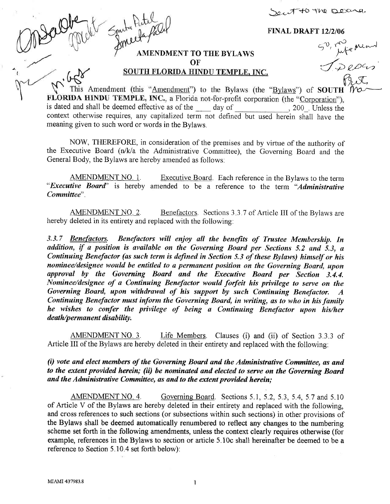-5.t r;4-+O t h0 b'-qr:'--q'

50, rufement

I. Depus

FINAL DRAFT 12/2/06

## AMENDMENT TO THE BYLAWS **OF**

SOUTH FLORIDA HINDU TEMPLE, INC.

This Amendment (this "Amendment") to the Bylaws (the "Bylaws") of SOUTH FLORIDA HINDU TEMPLE, INC., a Florida not-for-profit corporation (the "Corporation"). is dated and shall be deemed effective as of the day of , 200 . Unless the context otherwise requires, any capitalized term not defined but used herein shail have the meaning given to such word or words in the Bylaws.

NOW, THEREFORE, in consideration of the premises and by virtue of the authority of the Executive Board (n/Wa the Administrative Committee), the Governing Board and the General Body, the Bylaws are hereby amended as follows:

AMENDMENT NO. 1. Executive Board. Each reference in the Bylaws to the term "Executive Board" is hereby amended to be a reference to the term "Administrative Committee".

AMENDMENT NO. 2. Benefactors. Sections 3.3.7 of Article III of the Bylaws are hereby deleted in its entirety and replaced with the following:

3.3.7 Benefactors. Benefactors will enjoy all the benefits of Trustee Membership. In addition, if a position is available on the Governing Board per Sections 5.2 and 5.3, <sup>a</sup> Continuing Benefactor (as such term is defined in Section 5.3 of these Bylaws) himself or his nominee/designee would be entitled to a permanent position on the Governing Board, upon approval by the Governing Board and the Executive Board per Section 3.4.4. Nominee/designee of a Continuing Benefactor would fofeit his privilege to serve on the Governing Board, upon withdrawal of his support by such Continuing Benefactor.  $A$ <br>Continuing Benefactor must inform the Governing Board, in writing, as to who in his family he wishes to confer the privilege of being a Continuing Benefactor upon his/her death/permanent disability.

AMENDMENT NO. 3. Life Members. Clauses (i) and (ii) of Section 3.3.3 of Article III of the Bylaws are hereby deleted in their entirety and replaced with the following:

 $(i)$  vote and elect members of the Governing Board and the Administrative Committee, as and to the extent provided herein; (ii) be nominded and elected to serve on the Governing Board and the Administrative Committee, as and to the extent provided herein;

AMENDMENT NO. 4. Governing Board. Sections 5.1, 5.2, 5.3, 5.4, 5.7 and 5.10 of Article V of the Bylaws are hereby deleted in their entirety and replaced with the following, and cross references to such sections (or subsections within such sections) in other provisions of the Bylaws shall be deemed automatically renumbered to reflect any changes to the numbering scheme set forth in the following amendments, unless the context clearly requires otherwise (for example, references in the Bylaws to section or article 5.10c shall hereinafter be deemed to be a reference to Section 5.10.4 set forth below):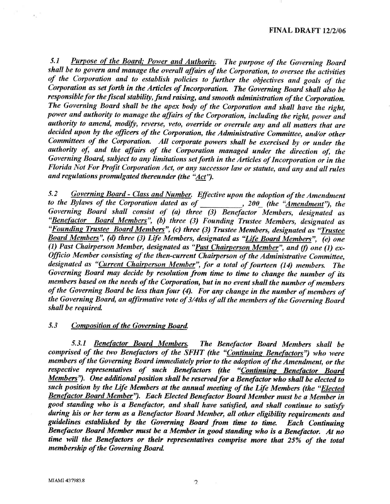#### FINAL DRAFT 12/2106

5.1 Purpose of the Board: Power and Authority. The purpose of the Governing Board shall be to govern and manage the overall affairs of the Corporation, to oversee the activities of the Corporation and to establish policies to further the objectives and goals of the  $C$ orporation as set forth in the Articles of Incorporation. The Governing Board shall also be responsible for the fiscal stability, fund raising, and smooth administration of the Corporation. The Governing Board shall be the apex body of the Corporation and shall have the right, power and authority to manage the affairs of the Corporation, including the right, power and authority to amend, modify, reverse, veto, override or overrule any and all matters that are decided upon by the officers of the Corporation, the Administrative Committee, and/or other Committees of the Corporation. All corporate powers shall be exercised by or under the authority of, and the affairs of the Corporation managed under the direction of, the Governing Board, subject to any limitations set forth in the Articles of Incorporation or in the Florida Not For Projit Corporation Act, or any successor law or statute, and any and all rules and regulations promulgated thereunder (the "Act").

5.2 Governing Board - Class and Number. Effective upon the adoption of the Amendment to the Bylaws of the Corporation dated as of  $\frac{1}{\sqrt{2\pi}}$ , 200 (the "Amendment"), the Governing Board shall consist of  $(a)$  three  $(3)$  Benefactor Members, designated as "Benefactor Board Members", (b) three (3) Founding Trustee Members, designated as "Founding Trustee Board Members", (c) three (3) Trustee Members, designated as "Trustee Board Members", (d) three (3) Life Members, designated as "Life Board Members",  $\overline{(e)}$  one (1) Past Chairperson Member, designated as "Past Chairperson Member", and (f) one (1) ex-Officio Member consisting of the then-current Chairperson of the Administrative Committee, designated as "Current Chairperson Member", for a total of fourteen (14) members. The Governing Board may decide by resolution from fime to time to change the number of its members based on the needs of the Corporation, but in no event shall the number of members of the Governing Board be less than four (4). For any change in the number of members of the Governing Board, an affirmative vote of 3/4ths of all the members of the Governing Board shall be required

### 5.3 Composition of the Governing Board.

5.3.1 Benefactor Board Members. The Benefactor Board Members shall be comprised of the two Benefactors of the SFHT (the "Continuing Benefactors") who were members of the Governing Board immediately prior to the adoption of the Amendment, or the respective representatives of such Benefactors (the "Continuing Benefactor Board Members"). One additional position shall be reserved for a Benefactor who shall be elected to such position by the Life Members at the annual meeting of the Life Members (the "Elected Benefactor Board Member"). Each Elected Benefactor Board Member must be a Member in good standing who is a Benefactor, and shall have satisfied, and shall continue to satisfy during his or her term as a Benefactor Bourd Member, all other eligibility requirements and guidelines established by the Governing Board from time to time. Each Continuing Benefactor Board Member must be a Member in good standing who is a Benefactor. At no time will the Benefactors or their representatives comprise more that  $25\%$  of the total membership of the Governing Board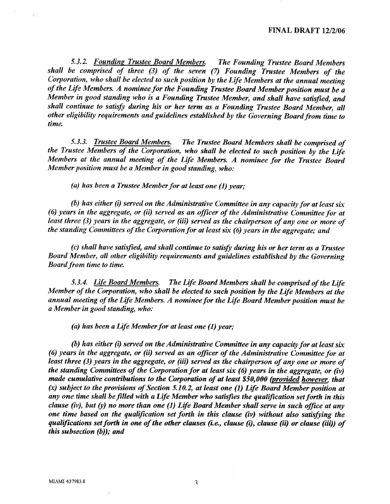5.3.2. Founding Trustee Board Members. The Founding Trustee Board Members shall be comprised of three  $(3)$  of the seven  $(7)$  Founding Trustee Members of the Coryoration, who shall he elected to such position by the Life Members at the annual meeting of the Life Members. A nominee for the Founding Trustee Board Member position must be  $\overline{a}$ Member in good standing who is a Founding Trustee Member, and shall have satisfied, and shall continue to satisfy during his or her term as a Founding Trustee Board Member, all other eligibility requirements and guidelines established by the Governing Board from time to time

5.3.3. Trustee Board Members. The Trustee Board Members shall be comprised of the Trustee Members of the Corporation, who shall be elected to such position by the Life Members at the annual meeting of the Life Members. A nominee for the Trustee Board Member position must be a Member in good standing, who:

(a) has been a Trustee Member for at least one  $(1)$  year;

(b) has either (i) served on the Administrative Committee in any capacity for at least six (6) years in the aggregate, or (ii) served as an officer of the Administrative Committee for at least three (3) years in the aggregate, or (iii) served as the chairperson of any one or more of the standing Committees of the Corporation for at least six (6) years in the aggregate; and

 $(c)$  shall have satisfied, and shall continue to satisfy during his or her term as a Trustee Board Member, all other eligibility requirements and guidelines established by the Governing Board from time to time.

5.3.4. Life Board Members. The Life Board Members shall be comprised of the Life Member of the Corporation, who shall be elected to such position by the Life Members at the annual meeting of the Life Members. A nominee for the Life Board Member position must be a Member in good standing, who:

(a) has been a Life Member for at least one  $(1)$  year;

(b) has either (i) served on the Administrative Committee in any capacity for at least six (6) years in the aggregate, or (ii) served as an officer of the Administrative Committee for at least three  $(3)$  years in the aggregate, or (iii) served as the chairperson of any one or more of the standing Committees of the Corporation for at least six (6) years in the aggregate, or (iv) made cumulative contributions to the Corporation of at least \$50,000 (provided however, that  $(x)$  subject to the provisions of Section 5.10.2, at least one (1) Life Board Member position at any one time shall be filled with a Life Member who satisfies the qualification set forth in this clause (iv), but (y) no more than one (1) Life Board Member shall serve in such office at any one time based on the qualification set forth in this clause (iv) without also satisfying the qualifications set forth in one of the other clauses (i.e., clause  $(i)$ , clause (ii) or clause (iii)) of this subsection  $(b)$ ); and

 $\overline{1}$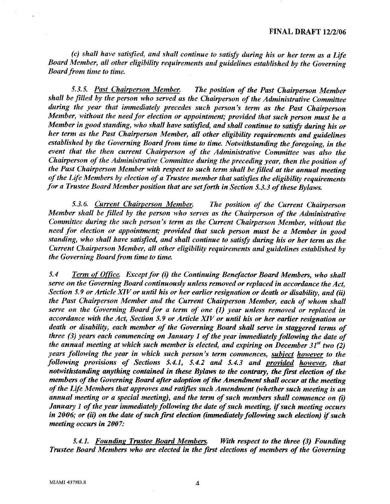(c) shall have satisfied, and shall continue to satisfy during his or her term as a Life Board Mentber, all other eligibility requirements and guidelines established by the Governing Board from time to time.

5.3.5. Past Chairperson Member. The position of the Past Chairperson Member shall be filled by the person who served as the Chairperson of the Administrative Committee during the year that immediately precedes such person's term as the Past Chairperson Member, without the need for election or appointment; provided that such person must be a Member in good standing, who shall have satisfied, and shall continue to satisfy during his or her term as the Past Chairperson Member, all other eligibility requirements and guidelines established by the Governing Board from time to time. Notwithstanding the foregoing, in the event that the then current Chairperson of the Administrative Committee was also the Chairperson of the Administrative Committee during the preceding year, then the position of the Past Chairperson Member with respect to such term shall be filled at the annual meeting of the Life Members by election of a Trustee member that satisfies the eligibility requirements for a Trustee Board Member position that are set forth in Section 5.3.3 of these Bylaws.

5.3.6. Current Chairperson Member. The position of the Current Chairperson Member shall be filled by the person who serves as the Chairperson of the Administrative Committee during the such person's term as the Current Chairperson Member, without the need for election or appointment; provided that such person must be a Member in good standing, who shall have satisfied, and shall continue to satisfy during his or her term as the Current Chairperson Member, all other eligibility requirements and guidelines established by the Governing Board from time to time.

5.4 Term of Office. Except for (i) the Continuing Benefactor Board Members, who shall serve on the Governing Board continuously unless removed or replaced in accordance the Act, Section 5.9 or Article XIV or until his or her earlier resignation or death or disability, and (ii) the Past Chairperson Member and the Current Chairperson Member, each of whom shall serve on the Governing Board for a term of one (I) year unless removed or replaced in accordance with the Act, Section 5.9 or Article XIV or until his or her earlier resignation or death or disability, each member of the Governing Board shall serve in staggered terms of three  $(3)$  years each commencing on January 1 of the year immediately following the date of the annual meeting at which such member is elected, and expiring on December  $31^{st}$  two (2) years following the year in which such person's term commences, subject however to the following provisions of Sections 5.4.1, 5.4.2 and 5.4.3 and provided however, that notwithstanding anything contained in these Bylaws to the contrary, the first election of the members of the Governing Board after adoption of the Amendment shall occur at the meeting of the Life Members that approves and ratifies such Amendment (whether such meeting is an annual meeting or a special meeting), and the term of such members shall commence on  $(i)$ January 1 of the year immediately following the date of such meeting, if such meeting occurs in 2006; or (ii) on the date of such first election (immediately following such election) if such meeting occurs in 2007:

5.4.1. Founding Trustee Board Members. With respect to the three (3) Founding Trustee Board Members who are elected in the first elections of members of the Governing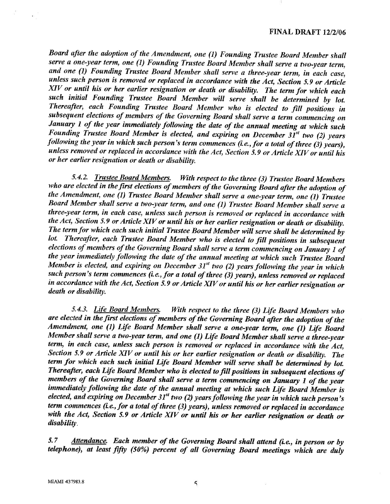### FINAL DRAFT 12/2/06

Board after the adoption of the Amendment, one (1) Founding Trustee Board Member shall serve a one-year term, one (1) Founding Trustee Board Member shall serve a two-year term, and one (1) Founding Trustee Board Member shall serve a three-year term, in each case, unless such person is removed or replaced in accordance with the  $\overline{A}$ ct, Section 5.9 or Article XIV or until his or her earlier resignation or death or disability. The term for which each such initial Founding Trustee Board Member will serve shall be determined by lot. Thereafter, each Founding Trustee Board Member who is elected to fill positions in subsequent elections of members of the Governing Board shall serve a term commencing on January  $1$  of the year immediately following the date of the annual meeting at which such Founding Trustee Board Member is elected, and expiring on December  $3I^{st}$  two (2) years following the year in which such person's term commences (i.e., for a total of three  $(3)$  years), unless removed or replaced in accordance with the Act, Section 5.9 or Article XIV or until his or her earlier resignation or death or disability.

5.4.2. Trustee Board Members. With respect to the three (3) Trustee Board Members who are elected in the first elections of members of the Governing Board after the adoption of the Amendment, one  $(1)$  Trustee Board Member shall serve a one-year term, one  $(1)$  Trustee Board Member shall serve a two-year term, and one (1) Trustee Board Member shall serve <sup>a</sup> three-year term, in each case, unless such person is removed or replaced in accordance with the Act, Section 5.9 or Article XIV or until his or her earlier resignation or death or disability.<br>The term for which each such initial Trustee Board Member will serve shall be determined by lot. Thereafter, each Trustee Board Member who is elected to fill positions in subsequent elections of members of the Governing Board shall serve a term commencing on January 1 of the year immediately following the date of the annual meeting at which such Trustee Board Member is elected, and expiring on December  $31<sup>st</sup>$  two (2) years following the year in which such person's term commences (i.e., for a total of three (3) years), unless removed or replaced in accordance with the Act, Section 5.9 or Article XIV or until his or her earlier resignarion or death or disability.

5.4.3. Life Board Members. With respect to the three (3) Life Board Members who are elected in the first elections of members of the Governing Board after the adoption of the Amendment, one (1) Life Board Member shall serve a one-year term, one (1) Life Board Member shall serve a two-year term, and one (1) Life Board Member shall serve a three-year term, in each case, unless such person is removed or replaced in accordance with the Act, Section 5.9 or Article XIV or until his or her earlier resignation or death or disability. The term for which each such initial Life Board Member will serve shall be determined by lot. Thereafter, each Life Board Member who is elected to fill positions in subsequent elections of members of the Governing Board shall serve a term commencing on January 1 of the year immediately following the date of the annual meeting at which such Life Board Member is elected, and expiring on December  $31<sup>st</sup>$  two (2) years following the year in which such person's term commences (i.e., for a total of three  $(3)$  years), unless removed or replaced in accordance with the Act, Section 5.9 or Article XIV or until his or her earlier resignation or death or disability.

5.7 Attendance. Each member of the Governing Board shall attend (i.e., in person or by telephone), at least fifty  $(50%)$  percent of all Governing Board meetings which are duly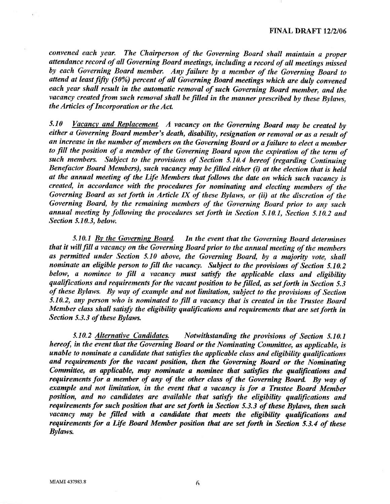convened each year. The Chairperson of the Governing Board shall maintain a proper attendance record of all Governing Board meetings, including a record of all meetings missed by each Governing Board member, Any fuilure by a member of the Governing Board to attend at least fifty  $(50\%)$  percent of all Governing Board meetings which are duly convened each year shall result in the automatic removal of such Governing Board member, and the vacancy created from such removal shall be filled in the manner prescribed by these Bylaws, the Articles of Incorporation or the Act.

5.10 Vacancy and Replacement. A vacancy on the Governing Board may be created by either a Governing Board member's death, disability, resignation or removal or as a result of an increase in the number of members on the Governing Board or a failure to elect a member to fill the position of a member of the Governing Board upon the expiration of the term of such members. Subject to the provisions of Section 5.10.4 hereof (regarding Continuing Benefactor Board Members), such vacancy may be filled either (i) at the election that is held at the annual meeting of the Life Members that follows the date on which such vacancy is created, in accordance with the procedures for nominating and electing members of the Governing Board as set forth in Article IX of these Bylaws, or (ii) at the discretion of the Governing Board, by the remaining members of the Governing Board prior to any such annual meeting by following the procedures set forth in Section 5.10.1, Section 5.10.2 and Section 5.10.3, below.

5.10.1 By the Governing Board. In the event that the Governing Board determines that it will fill a vacancy on the Governing Board prior to the annual meeting of the members as permitted under Section 5.10 above, the Governing Board, by a majority vote, shall nominate an eligible person to fill the vacancy. Subject to the provisions of Section 5.10.2 below, a nominee to fill a vacancy must satisfy the applicable class and eligibility quaffications and requirements for the vacant position to be filled, as set forth in Section 5.3 of these Bylaws. By way of example and not limitation, subject to the provisions of Section  $5.10.2$ , any person who is nominated to fill a vacancy that is created in the Trustee Board Member class shall satisfy the eligibility qualifications and requirements that are set forth in Section 5.3.3 of these Bylaws.

5.10.2 Alternative Candidates. Notwithstanding the provisions of Section 5.10,1 hereof, in the event that the Governing Board or the Nominating Committee, as applicable, is  $u$  unable to nominate a candidate that satisfies the applicable class and eligibility qualifications and requiremcnts for the vacant posifion, then the Governing Board or the Nominating Committee, as applicable, may nominate a nominee that satisfies the qualifications and requirements for a member of any of the other class of the Governing Board. By way of example and not limitation, in the event that a vacancy is for a Trustee Board Member position, and no candidates are available that satisfy the eligibility qualifications and requirements for such position that are set forth in Section 5.3.3 of these Bylaws, then such vacancy may be filled with a candidate that meets the eligibility qualifications and requirements for a Life Board Member position that are set forth in Section 5.3.4 of these Bylaws.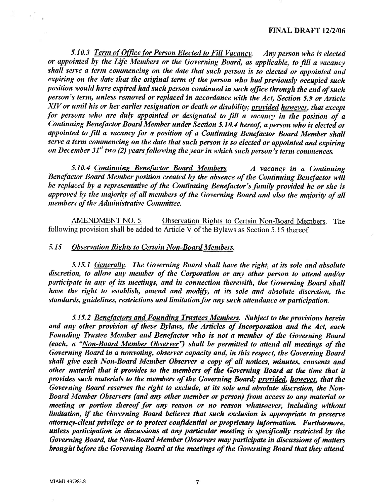#### FINAL DRAFT 12/2/06

5.10.3 Term of Office for Person Elected to Fill Vacancy. Any person who is elected or appointed by the Life Members or the Governing Board, as applicable, to fill a vacancy shall serve a term commencing on the date that such person is so elected or appointed and expiring on the date that the original term of the person who had previously occupied such position would have expired had such person continued in such office through the end of such person's term, unless removed or replaced in accordance with the Act, Section 5.9 or Article XIV or until his or her earlier resignation or death or disability; provided however, that except for persons who are duly appointed or designated to fill a vacancy in the position of a Continuing Benefactor Board Member under Section 5.10.4 hereof, a person who is elected or appointed to fill a vacancy for a position of a Continuing Benefactor Board Member shall serve a term commencing on the date that such person is so elected or appointed and expiring on December 31<sup>st</sup> two (2) years following the year in which such person's term commences.

5.10.4 Continuing Benefactor Board Members. A vacancy in a Continuing Benefactor Board Member position created by the absence of the Continuing Benefuctor will be replaced by a representative of the Continuing Benefactor's family provided he or she is approved by the majority of all members of the Governing Board and also the majority of all members of the Administrative Committee.

AMENDMENT NO. 5. Observation Rights to Certain Non-Board Members. The following provision shall be added to Article V of the Bylaws as Section 5.15 thereof

### 5.15 Observation Rights to Certain Non-Board Members.

5.15.1 Generally. The Governing Board shall have the right, at its sole and absolute discretion, to allow any member of the Corporation or any other person to attend and/or participate in any of its meetings, and in connection therewith, the Governing Board shall have the right to establish, amend and modify, at its sole and ahsolute discretion, the standards, guidelines, restrictions and limitation for any such attendance or participation.

5.15.2 Benefactors and Founding Trustees Members. Subject to the provisions herein and any other provision of these Bylaws, the Articles of Incorporation and the Act, each Founding Trustee Member and Benefactor who is not a member of the Governing Board (each, a "Non-Board Member Observer") shall be permitted to attend all meetings of the Governing Board in a nonvoting, observer capacity and, in this respect, the Governing Board shall give each Non-Board Member Observer a copy of all notices, minutes, consents and, other material that it provides to the members of the Governing Board at the time that it provides such materials to the members of the Governing Board; provided, however, that the Governing Board reserves the right to exclude, at its sole and absolute discretion, the Non-Board Member Observers (and any other member or person) from access to any material or meeting or portion thereof for any reason or no reason whatsoever, including without limitation, if the Governing Board believes that such exclusion is appropriate to preserve attorney-client privilege or to protect confidential or proprietary information. Furthermore, unless participation in discussions at any particular meeting is specifically restricted by the Governing Board, the Non-Board Member Observers may participate in discussions of matters brought before the Governing Board at the meetings of the Governing Board that they attend.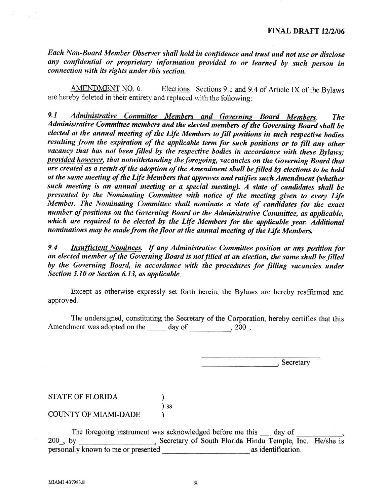Each Non-Board Member Observer shall hold in confidence and. trust and not use or disclose any confidential or proprietary information provided to or learned by such person in connection with its rights under this section.

AMENDMENT NO. 6. Elections. Sections 9.1 and 9.4 of Article IX of the Bylaws are hereby deleted in their entirety and replaced with the following:

9.1 Administrative Committee Members and Governing Board Members. The Administrative Committee members and the elected members of the Governing Board shall be elected at the annual meeting of the Life Members to fill positions in such respective bodies resulting from the expiration of the applicable term for such positions or to filt any other vacancy that has not been filled by the respective bodies in accordance with these Bylaws; provided however, that notwithstanding the foregoing, vacancies on the Governing Board that are created as a result of the adoption of the Amendment shall be filled by elections to be held at the same meeting of the Life Members that approves and ratifies such Amendment (whether such meeting is an annual meeting or a special meeting). A slate of candidates shall be presented by the Nominating Committee with notice of the meeting given to every Life Member. The Nominating Committee shall nominate a slate of candidates for the exact number of positions on the Governing Board or the Administrative Committee, as applicable, which are required to be elected by the Life Members for the applicable year. Additional nominations may be made from the floor at the annual meeting of the Life Members.

9.4 **Insufficient Nominees.** If any Administrative Committee position or any position for an elected member of the Governing Board is not filled at an election, the same shall be filled by the Governing Board, in accordance with the procedures for filling vacancies under Section 5.10 or Section 6.13, as applicable.

Except as otherwise expressly set forth herein, the Bylaws are hereby reaffrrmed and approved.

The undersigned, constituting the Secretary of the Corporation, hereby certifies that this Amendment was adopted on the day of 300.

**Secretary** 

STATE OF FLORIDA (1)

):ss

COUNTY OF MIAMI-DADE )

The foregoing instrument was acknowledged before me this day of 200, by<br>
Secretary of South Florida Hindu Temple, 3. Secretary of South Florida Hindu Temple, Inc. He/she is personally known to me or presented as identification.